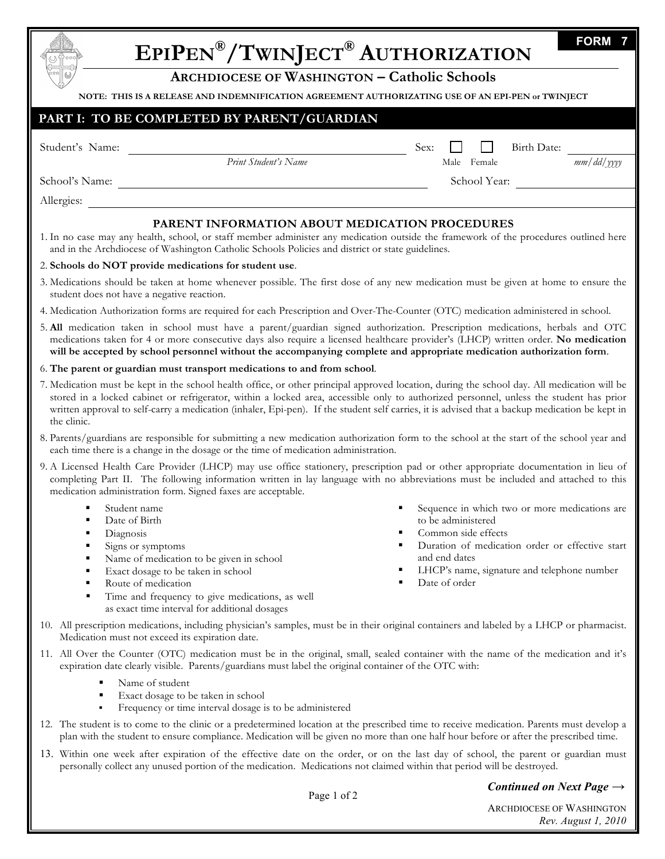| <b>FORM</b><br>EPIPEN®/TWINJECT® AUTHORIZATION<br><b>ARCHDIOCESE OF WASHINGTON - Catholic Schools</b>                                                                                                                                                                                                                                                                                                                                                                                                                                                                                                |                                                                                                                                                                                                                                                    |                                                                                                                                                 |
|------------------------------------------------------------------------------------------------------------------------------------------------------------------------------------------------------------------------------------------------------------------------------------------------------------------------------------------------------------------------------------------------------------------------------------------------------------------------------------------------------------------------------------------------------------------------------------------------------|----------------------------------------------------------------------------------------------------------------------------------------------------------------------------------------------------------------------------------------------------|-------------------------------------------------------------------------------------------------------------------------------------------------|
|                                                                                                                                                                                                                                                                                                                                                                                                                                                                                                                                                                                                      |                                                                                                                                                                                                                                                    | NOTE: THIS IS A RELEASE AND INDEMNIFICATION AGREEMENT AUTHORIZATING USE OF AN EPI-PEN or TWINJECT<br>PART I: TO BE COMPLETED BY PARENT/GUARDIAN |
| Student's Name:                                                                                                                                                                                                                                                                                                                                                                                                                                                                                                                                                                                      | Birth Date:<br>Sex:                                                                                                                                                                                                                                |                                                                                                                                                 |
| Print Student's Name                                                                                                                                                                                                                                                                                                                                                                                                                                                                                                                                                                                 | $\frac{1}{\frac{m}{d}}$ and $\frac{1}{\frac{m}{d}}$<br>Male Female                                                                                                                                                                                 |                                                                                                                                                 |
| School's Name:                                                                                                                                                                                                                                                                                                                                                                                                                                                                                                                                                                                       | School Year:                                                                                                                                                                                                                                       |                                                                                                                                                 |
| Allergies:                                                                                                                                                                                                                                                                                                                                                                                                                                                                                                                                                                                           |                                                                                                                                                                                                                                                    |                                                                                                                                                 |
| PARENT INFORMATION ABOUT MEDICATION PROCEDURES<br>1. In no case may any health, school, or staff member administer any medication outside the framework of the procedures outlined here<br>and in the Archdiocese of Washington Catholic Schools Policies and district or state guidelines.                                                                                                                                                                                                                                                                                                          |                                                                                                                                                                                                                                                    |                                                                                                                                                 |
| 2. Schools do NOT provide medications for student use.                                                                                                                                                                                                                                                                                                                                                                                                                                                                                                                                               |                                                                                                                                                                                                                                                    |                                                                                                                                                 |
| 3. Medications should be taken at home whenever possible. The first dose of any new medication must be given at home to ensure the<br>student does not have a negative reaction.                                                                                                                                                                                                                                                                                                                                                                                                                     |                                                                                                                                                                                                                                                    |                                                                                                                                                 |
| 4. Medication Authorization forms are required for each Prescription and Over-The-Counter (OTC) medication administered in school.                                                                                                                                                                                                                                                                                                                                                                                                                                                                   |                                                                                                                                                                                                                                                    |                                                                                                                                                 |
| 5. All medication taken in school must have a parent/guardian signed authorization. Prescription medications, herbals and OTC<br>medications taken for 4 or more consecutive days also require a licensed healthcare provider's (LHCP) written order. No medication<br>will be accepted by school personnel without the accompanying complete and appropriate medication authorization form.                                                                                                                                                                                                         |                                                                                                                                                                                                                                                    |                                                                                                                                                 |
| 6. The parent or guardian must transport medications to and from school.                                                                                                                                                                                                                                                                                                                                                                                                                                                                                                                             |                                                                                                                                                                                                                                                    |                                                                                                                                                 |
| 7. Medication must be kept in the school health office, or other principal approved location, during the school day. All medication will be<br>stored in a locked cabinet or refrigerator, within a locked area, accessible only to authorized personnel, unless the student has prior<br>written approval to self-carry a medication (inhaler, Epi-pen). If the student self carries, it is advised that a backup medication be kept in<br>the clinic.<br>8. Parents/guardians are responsible for submitting a new medication authorization form to the school at the start of the school year and |                                                                                                                                                                                                                                                    |                                                                                                                                                 |
| each time there is a change in the dosage or the time of medication administration.<br>9. A Licensed Health Care Provider (LHCP) may use office stationery, prescription pad or other appropriate documentation in lieu of                                                                                                                                                                                                                                                                                                                                                                           |                                                                                                                                                                                                                                                    |                                                                                                                                                 |
| completing Part II. The following information written in lay language with no abbreviations must be included and attached to this<br>medication administration form. Signed faxes are acceptable.                                                                                                                                                                                                                                                                                                                                                                                                    |                                                                                                                                                                                                                                                    |                                                                                                                                                 |
| Student name<br>Date of Birth<br>Diagnosis<br>٠<br>Signs or symptoms<br>Name of medication to be given in school<br>Exact dosage to be taken in school<br>Route of medication<br>Time and frequency to give medications, as well<br>as exact time interval for additional dosages                                                                                                                                                                                                                                                                                                                    | Sequence in which two or more medications are<br>to be administered<br>Common side effects<br>٠<br>Duration of medication order or effective start<br>٠<br>and end dates<br>LHCP's name, signature and telephone number<br>٠<br>Date of order<br>٠ |                                                                                                                                                 |
| 10. All prescription medications, including physician's samples, must be in their original containers and labeled by a LHCP or pharmacist.<br>Medication must not exceed its expiration date.                                                                                                                                                                                                                                                                                                                                                                                                        |                                                                                                                                                                                                                                                    |                                                                                                                                                 |
| 11. All Over the Counter (OTC) medication must be in the original, small, sealed container with the name of the medication and it's<br>expiration date clearly visible. Parents/guardians must label the original container of the OTC with:                                                                                                                                                                                                                                                                                                                                                         |                                                                                                                                                                                                                                                    |                                                                                                                                                 |
| Name of student<br>Exact dosage to be taken in school<br>٠<br>Frequency or time interval dosage is to be administered<br>٠                                                                                                                                                                                                                                                                                                                                                                                                                                                                           |                                                                                                                                                                                                                                                    |                                                                                                                                                 |
| 12. The student is to come to the clinic or a predetermined location at the prescribed time to receive medication. Parents must develop a<br>plan with the student to ensure compliance. Medication will be given no more than one half hour before or after the prescribed time.                                                                                                                                                                                                                                                                                                                    |                                                                                                                                                                                                                                                    |                                                                                                                                                 |
| 13. Within one week after expiration of the effective date on the order, or on the last day of school, the parent or guardian must<br>personally collect any unused portion of the medication. Medications not claimed within that period will be destroyed.                                                                                                                                                                                                                                                                                                                                         |                                                                                                                                                                                                                                                    |                                                                                                                                                 |
| Continued on Next Page $\rightarrow$                                                                                                                                                                                                                                                                                                                                                                                                                                                                                                                                                                 |                                                                                                                                                                                                                                                    |                                                                                                                                                 |

*Continued on Next Page →*

Page 1 of 2

ARCHDIOCESE OF WASHINGTON *Rev. August 1, 2010*